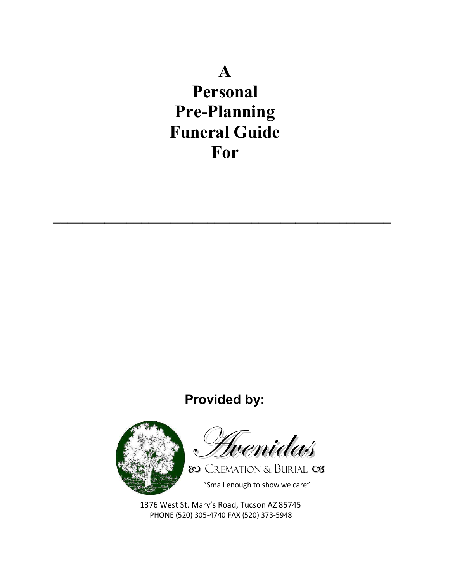# $\mathbf{A}$

Personal **Pre-Planning Funeral Guide** For

## **Provided by:**



Tvenidas

80 CREMATION & BURIAL CS "Small enough to show we care"

1376 West St. Mary's Road, Tucson AZ 85745 PHONE (520) 305-4740 FAX (520) 373-5948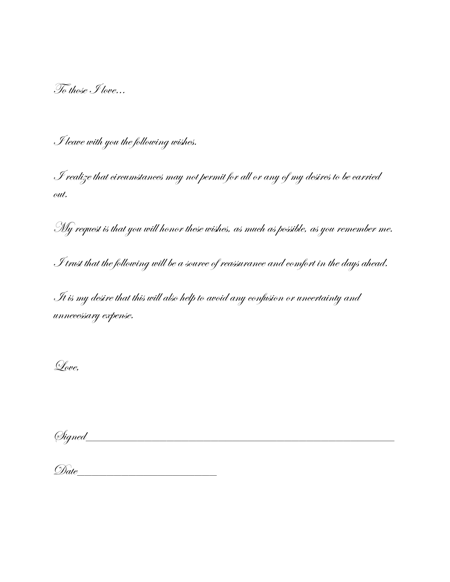To those I love…

I leave with you the following wishes.

I realize that circumstances may not permit for all or any of my desires to be carried out.

My request is that you will honor these wishes, as much as possible, as you remember me.

I trust that the following will be a source of reassurance and comfort in the days ahead.

It is my desire that this will also help to avoid any confusion or uncertainty and unnecessary expense.

Love,

 $\oslash{}^{ij}$ 

| D.<br>◡ |  |  |
|---------|--|--|
|         |  |  |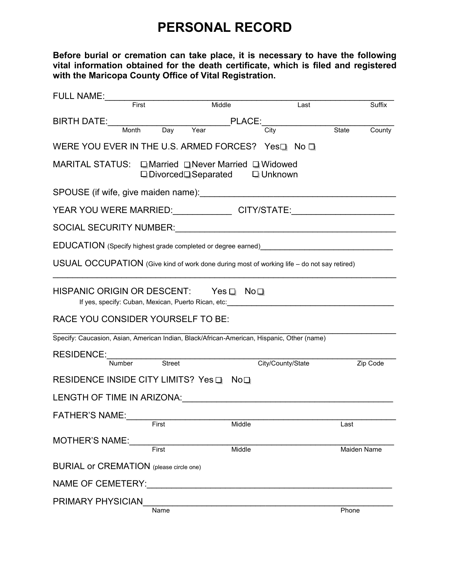### **PERSONAL RECORD**

**Before burial or cremation can take place, it is necessary to have the following vital information obtained for the death certificate, which is filed and registered with the Maricopa County Office of Vital Registration.** 

| <b>FULL NAME:</b>                                                                                              |                         |                                                                                                                                                                                                                                                                                          |                   |                 |
|----------------------------------------------------------------------------------------------------------------|-------------------------|------------------------------------------------------------------------------------------------------------------------------------------------------------------------------------------------------------------------------------------------------------------------------------------|-------------------|-----------------|
|                                                                                                                | First                   | Middle                                                                                                                                                                                                                                                                                   | Last              | Suffix          |
| BIRTH DATE: North Management of the Management of the Management of the Management of the Management of the Ma |                         | PLACE:                                                                                                                                                                                                                                                                                   |                   |                 |
|                                                                                                                | Day<br>Month            | Year                                                                                                                                                                                                                                                                                     | City              | State<br>County |
|                                                                                                                |                         | WERE YOU EVER IN THE U.S. ARMED FORCES? Yes <sup>[11]</sup> No <sup>[11</sup> ]                                                                                                                                                                                                          |                   |                 |
|                                                                                                                |                         | MARITAL STATUS: QMarried QNever Married Q Widowed<br>$\square$ Divorced $\square$ Separated $\square$ Unknown                                                                                                                                                                            |                   |                 |
|                                                                                                                |                         |                                                                                                                                                                                                                                                                                          |                   |                 |
|                                                                                                                |                         |                                                                                                                                                                                                                                                                                          |                   |                 |
|                                                                                                                |                         |                                                                                                                                                                                                                                                                                          |                   |                 |
|                                                                                                                |                         |                                                                                                                                                                                                                                                                                          |                   |                 |
|                                                                                                                |                         | USUAL OCCUPATION (Give kind of work done during most of working life – do not say retired)                                                                                                                                                                                               |                   |                 |
|                                                                                                                |                         |                                                                                                                                                                                                                                                                                          |                   |                 |
|                                                                                                                |                         | HISPANIC ORIGIN OR DESCENT: Yes $\Box$ No $\Box$<br>If yes, specify: Cuban, Mexican, Puerto Rican, etc: <b>with the control of the control of the control of the control of the control of the control of the control of the control of the control of the control of the control of</b> |                   |                 |
| RACE YOU CONSIDER YOURSELF TO BE:                                                                              |                         |                                                                                                                                                                                                                                                                                          |                   |                 |
|                                                                                                                |                         | Specify: Caucasion, Asian, American Indian, Black/African-American, Hispanic, Other (name)                                                                                                                                                                                               |                   |                 |
| RESIDENCE:                                                                                                     |                         |                                                                                                                                                                                                                                                                                          |                   |                 |
|                                                                                                                | Street<br><b>Number</b> |                                                                                                                                                                                                                                                                                          | City/County/State | Zip Code        |
|                                                                                                                |                         | RESIDENCE INSIDE CITY LIMITS? Yes D NoD                                                                                                                                                                                                                                                  |                   |                 |
|                                                                                                                |                         | LENGTH OF TIME IN ARIZONA: LENGTH OF TIME IN A                                                                                                                                                                                                                                           |                   |                 |
| FATHER'S NAME:                                                                                                 |                         |                                                                                                                                                                                                                                                                                          |                   |                 |
|                                                                                                                | First                   | Middle                                                                                                                                                                                                                                                                                   |                   | Last            |
| <b>MOTHER'S NAME:</b>                                                                                          | First                   | Middle                                                                                                                                                                                                                                                                                   |                   | Maiden Name     |
| <b>BURIAL or CREMATION</b> (please circle one)                                                                 |                         |                                                                                                                                                                                                                                                                                          |                   |                 |
|                                                                                                                |                         | NAME OF CEMETERY: <u>Name of Cemeters</u>                                                                                                                                                                                                                                                |                   |                 |
| PRIMARY PHYSICIAN                                                                                              |                         |                                                                                                                                                                                                                                                                                          |                   |                 |
|                                                                                                                | Name                    |                                                                                                                                                                                                                                                                                          |                   | Phone           |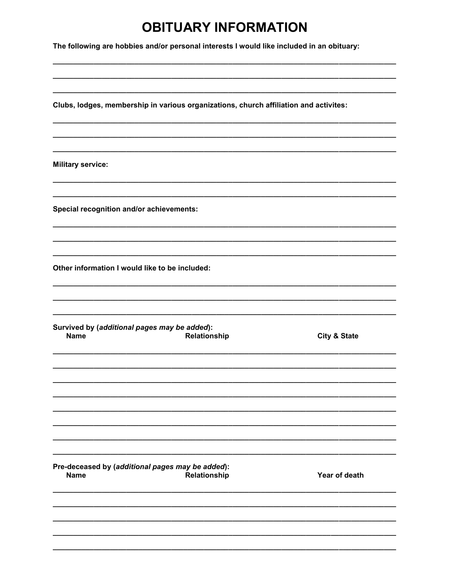## **OBITUARY INFORMATION**

The following are hobbies and/or personal interests I would like included in an obituary:

| Clubs, lodges, membership in various organizations, church affiliation and activites: |                         |
|---------------------------------------------------------------------------------------|-------------------------|
|                                                                                       |                         |
| <b>Military service:</b>                                                              |                         |
| Special recognition and/or achievements:                                              |                         |
| Other information I would like to be included:                                        |                         |
| Survived by (additional pages may be added):                                          |                         |
| Relationship<br><b>Name</b>                                                           | <b>City &amp; State</b> |
|                                                                                       |                         |
|                                                                                       |                         |
| Pre-deceased by (additional pages may be added):<br><b>Name</b><br>Relationship       | Year of death           |
|                                                                                       |                         |
|                                                                                       |                         |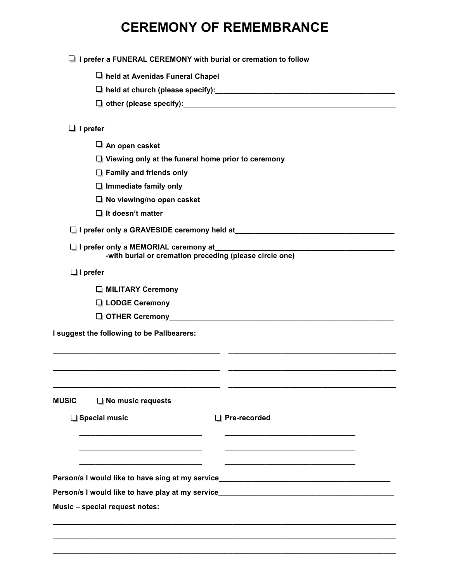## **CEREMONY OF REMEMBRANCE**

| $\Box$ held at Avenidas Funeral Chapel                                                                          |
|-----------------------------------------------------------------------------------------------------------------|
|                                                                                                                 |
|                                                                                                                 |
| $\Box$ I prefer                                                                                                 |
| $\Box$ An open casket                                                                                           |
| $\Box$ Viewing only at the funeral home prior to ceremony                                                       |
| $\Box$ Family and friends only                                                                                  |
| $\Box$ Immediate family only                                                                                    |
| $\Box$ No viewing/no open casket                                                                                |
| $\Box$ It doesn't matter                                                                                        |
| I prefer only a GRAVESIDE ceremony held at Mathematic Contract on the Case of Archivesian Archivesian Archivesi |
| $\Box$ I prefer only a MEMORIAL ceremony at<br>-with burial or cremation preceding (please circle one)          |
| $\Box$ I prefer                                                                                                 |
| MILITARY Ceremony                                                                                               |
| □ LODGE Ceremony                                                                                                |
|                                                                                                                 |
| I suggest the following to be Pallbearers:                                                                      |
|                                                                                                                 |
|                                                                                                                 |
|                                                                                                                 |
| $\Box$ No music requests<br><b>MUSIC</b>                                                                        |
| □ Special music<br>$\Box$ Pre-recorded                                                                          |
|                                                                                                                 |
|                                                                                                                 |
|                                                                                                                 |
|                                                                                                                 |
| Person/s I would like to have sing at my service________________________________                                |
| Person/s I would like to have play at my service________________________________                                |
| Music - special request notes:                                                                                  |

**\_\_\_\_\_\_\_\_\_\_\_\_\_\_\_\_\_\_\_\_\_\_\_\_\_\_\_\_\_\_\_\_\_\_\_\_\_\_\_\_\_\_\_\_\_\_\_\_\_\_\_\_\_\_\_\_\_\_\_\_\_\_\_\_\_\_\_\_\_\_\_\_\_\_\_\_\_\_\_\_\_\_\_\_ \_\_\_\_\_\_\_\_\_\_\_\_\_\_\_\_\_\_\_\_\_\_\_\_\_\_\_\_\_\_\_\_\_\_\_\_\_\_\_\_\_\_\_\_\_\_\_\_\_\_\_\_\_\_\_\_\_\_\_\_\_\_\_\_\_\_\_\_\_\_\_\_\_\_\_\_\_\_\_\_\_\_\_\_**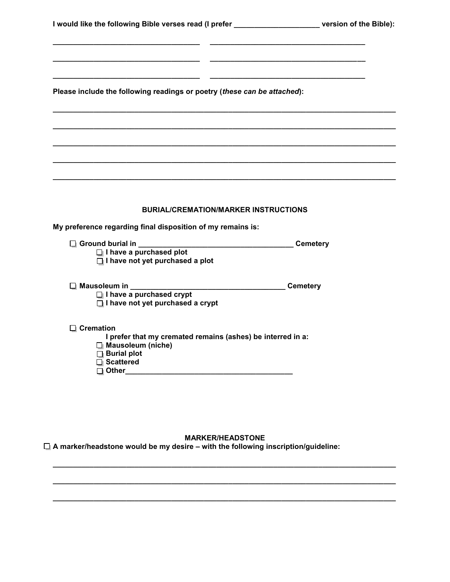| I would like the following Bible verses read (I prefer |  |
|--------------------------------------------------------|--|
|                                                        |  |

**Please include the following readings or poetry (***these can be attached***):**

**\_\_\_\_\_\_\_\_\_\_\_\_\_\_\_\_\_\_\_\_\_\_\_\_\_\_\_\_\_\_\_\_\_\_\_\_ \_\_\_\_\_\_\_\_\_\_\_\_\_\_\_\_\_\_\_\_\_\_\_\_\_\_\_\_\_\_\_\_\_\_\_\_\_\_** 

**\_\_\_\_\_\_\_\_\_\_\_\_\_\_\_\_\_\_\_\_\_\_\_\_\_\_\_\_\_\_\_\_\_\_\_\_ \_\_\_\_\_\_\_\_\_\_\_\_\_\_\_\_\_\_\_\_\_\_\_\_\_\_\_\_\_\_\_\_\_\_\_\_\_\_**

**\_\_\_\_\_\_\_\_\_\_\_\_\_\_\_\_\_\_\_\_\_\_\_\_\_\_\_\_\_\_\_\_\_\_\_\_ \_\_\_\_\_\_\_\_\_\_\_\_\_\_\_\_\_\_\_\_\_\_\_\_\_\_\_\_\_\_\_\_\_\_\_\_\_\_** 

**\_\_\_\_\_\_\_\_\_\_\_\_\_\_\_\_\_\_\_\_\_\_\_\_\_\_\_\_\_\_\_\_\_\_\_\_\_\_\_\_\_\_\_\_\_\_\_\_\_\_\_\_\_\_\_\_\_\_\_\_\_\_\_\_\_\_\_\_\_\_\_\_\_\_\_\_\_\_\_\_\_\_\_\_**

**\_\_\_\_\_\_\_\_\_\_\_\_\_\_\_\_\_\_\_\_\_\_\_\_\_\_\_\_\_\_\_\_\_\_\_\_\_\_\_\_\_\_\_\_\_\_\_\_\_\_\_\_\_\_\_\_\_\_\_\_\_\_\_\_\_\_\_\_\_\_\_\_\_\_\_\_\_\_\_\_\_\_\_\_** 

**\_\_\_\_\_\_\_\_\_\_\_\_\_\_\_\_\_\_\_\_\_\_\_\_\_\_\_\_\_\_\_\_\_\_\_\_\_\_\_\_\_\_\_\_\_\_\_\_\_\_\_\_\_\_\_\_\_\_\_\_\_\_\_\_\_\_\_\_\_\_\_\_\_\_\_\_\_\_\_\_\_\_\_\_** 

**\_\_\_\_\_\_\_\_\_\_\_\_\_\_\_\_\_\_\_\_\_\_\_\_\_\_\_\_\_\_\_\_\_\_\_\_\_\_\_\_\_\_\_\_\_\_\_\_\_\_\_\_\_\_\_\_\_\_\_\_\_\_\_\_\_\_\_\_\_\_\_\_\_\_\_\_\_\_\_\_\_\_\_\_** 

**\_\_\_\_\_\_\_\_\_\_\_\_\_\_\_\_\_\_\_\_\_\_\_\_\_\_\_\_\_\_\_\_\_\_\_\_\_\_\_\_\_\_\_\_\_\_\_\_\_\_\_\_\_\_\_\_\_\_\_\_\_\_\_\_\_\_\_\_\_\_\_\_\_\_\_\_\_\_\_\_\_\_\_\_**

### **BURIAL/CREMATION/MARKER INSTRUCTIONS**

**My preference regarding final disposition of my remains is:** 

- **Ground burial in \_\_\_\_\_\_\_\_\_\_\_\_\_\_\_\_\_\_\_\_\_\_\_\_\_\_\_\_\_\_\_\_\_\_\_\_\_\_ Cemetery I have a purchased plot I have not yet purchased a plot**
- **Mausoleum in \_\_\_\_\_\_\_\_\_\_\_\_\_\_\_\_\_\_\_\_\_\_\_\_\_\_\_\_\_\_\_\_\_\_\_\_\_\_ Cemetery** 
	- **I have a purchased crypt**
	- **I** I have not yet purchased a crypt

### **Cremation**

**I prefer that my cremated remains (ashes) be interred in a:** 

- **Mausoleum (niche)**
- **Burial plot**
- **Scattered**
- **Other\_\_\_\_\_\_\_\_\_\_\_\_\_\_\_\_\_\_\_\_\_\_\_\_\_\_\_\_\_\_\_\_\_\_\_\_\_\_\_\_\_**

### **MARKER/HEADSTONE**

**\_\_\_\_\_\_\_\_\_\_\_\_\_\_\_\_\_\_\_\_\_\_\_\_\_\_\_\_\_\_\_\_\_\_\_\_\_\_\_\_\_\_\_\_\_\_\_\_\_\_\_\_\_\_\_\_\_\_\_\_\_\_\_\_\_\_\_\_\_\_\_\_\_\_\_\_\_\_\_\_\_\_\_\_**

**\_\_\_\_\_\_\_\_\_\_\_\_\_\_\_\_\_\_\_\_\_\_\_\_\_\_\_\_\_\_\_\_\_\_\_\_\_\_\_\_\_\_\_\_\_\_\_\_\_\_\_\_\_\_\_\_\_\_\_\_\_\_\_\_\_\_\_\_\_\_\_\_\_\_\_\_\_\_\_\_\_\_\_\_**

**\_\_\_\_\_\_\_\_\_\_\_\_\_\_\_\_\_\_\_\_\_\_\_\_\_\_\_\_\_\_\_\_\_\_\_\_\_\_\_\_\_\_\_\_\_\_\_\_\_\_\_\_\_\_\_\_\_\_\_\_\_\_\_\_\_\_\_\_\_\_\_\_\_\_\_\_\_\_\_\_\_\_\_\_** 

**A marker/headstone would be my desire – with the following inscription/guideline:**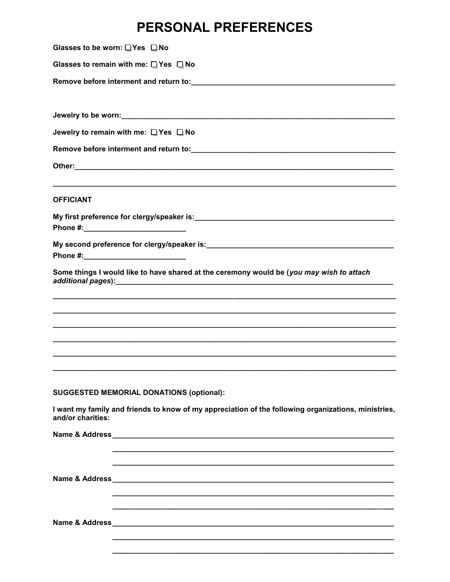### PERSONAL PREFERENCES

| Glasses to be worn: □Yes □No                                                                                             |
|--------------------------------------------------------------------------------------------------------------------------|
| Glasses to remain with me: $\Box$ Yes $\Box$ No                                                                          |
|                                                                                                                          |
|                                                                                                                          |
|                                                                                                                          |
| Jewelry to remain with me: □ Yes □ No                                                                                    |
|                                                                                                                          |
|                                                                                                                          |
| <b>OFFICIANT</b>                                                                                                         |
|                                                                                                                          |
|                                                                                                                          |
|                                                                                                                          |
| Some things I would like to have shared at the ceremony would be (you may wish to attach                                 |
|                                                                                                                          |
|                                                                                                                          |
|                                                                                                                          |
|                                                                                                                          |
|                                                                                                                          |
|                                                                                                                          |
| <b>SUGGESTED MEMORIAL DONATIONS (optional):</b>                                                                          |
| I want my family and friends to know of my appreciation of the following organizations, ministries,<br>and/or charities: |
|                                                                                                                          |
|                                                                                                                          |
|                                                                                                                          |
|                                                                                                                          |
|                                                                                                                          |
|                                                                                                                          |
|                                                                                                                          |
|                                                                                                                          |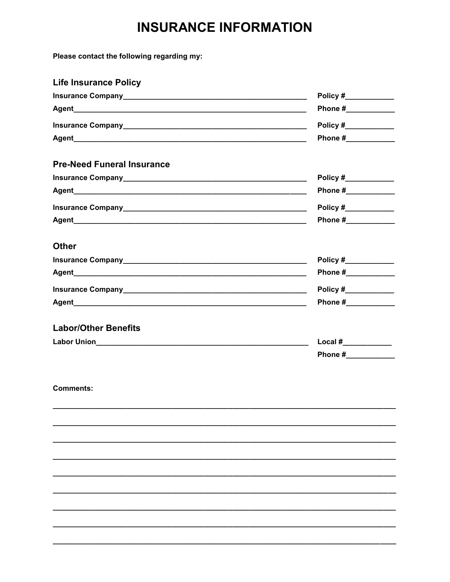## **INSURANCE INFORMATION**

Please contact the following regarding my:

| <b>Life Insurance Policy</b>      |                       |
|-----------------------------------|-----------------------|
|                                   |                       |
|                                   |                       |
|                                   | Policy #____________  |
|                                   |                       |
| <b>Pre-Need Funeral Insurance</b> |                       |
|                                   |                       |
|                                   |                       |
|                                   |                       |
|                                   | Phone #_____________  |
| <b>Other</b>                      |                       |
|                                   |                       |
|                                   |                       |
|                                   | Policy $#$            |
|                                   | Phone #_____________  |
| <b>Labor/Other Benefits</b>       |                       |
|                                   | Local # $\frac{1}{2}$ |
|                                   | Phone #_____________  |
| <b>Comments:</b>                  |                       |
|                                   |                       |
|                                   |                       |
|                                   |                       |
|                                   |                       |
|                                   |                       |
|                                   |                       |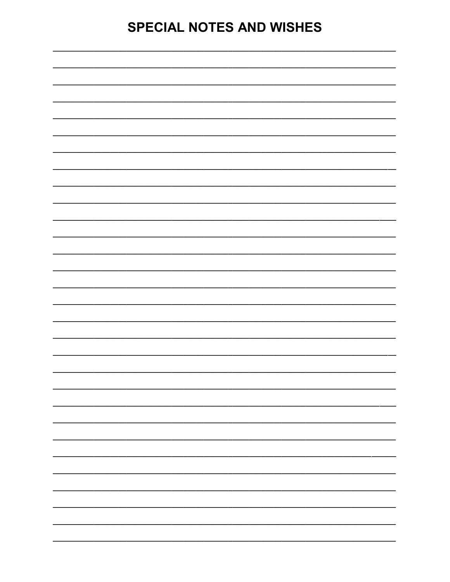## **SPECIAL NOTES AND WISHES**